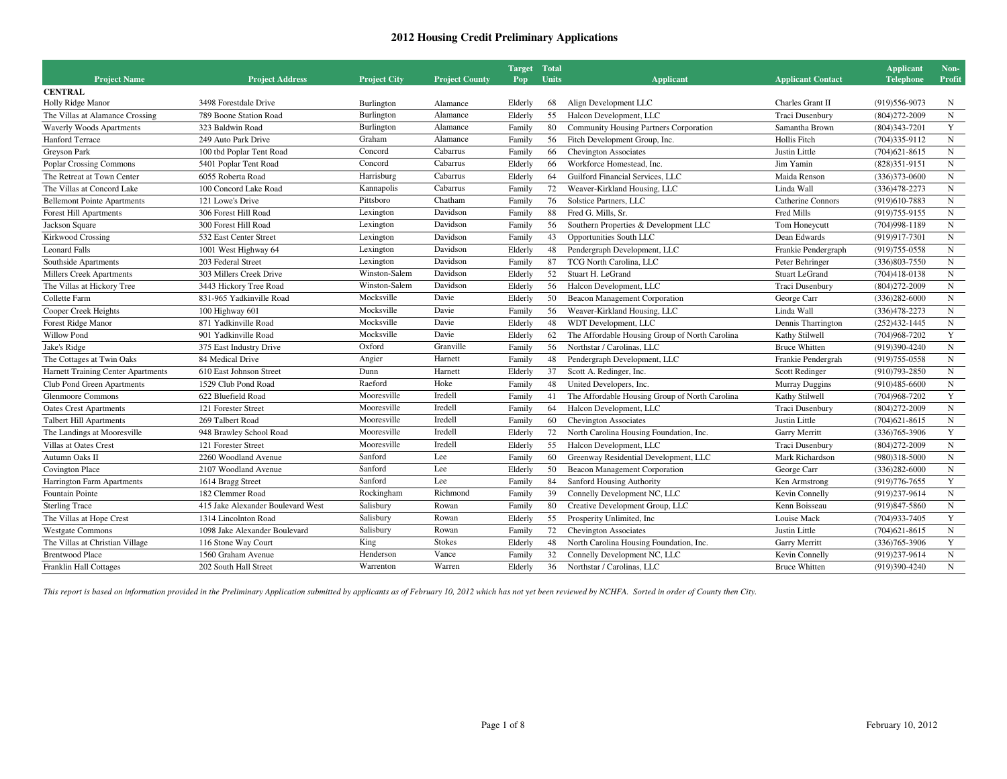| <b>Project Name</b>                | <b>Project Address</b>            | <b>Project City</b> | <b>Project County</b> | Target Total<br>Pop | Units | <b>Applicant</b>                               | <b>Applicant Contact</b> | <b>Applicant</b><br><b>Telephone</b> | Non-<br>Profit |
|------------------------------------|-----------------------------------|---------------------|-----------------------|---------------------|-------|------------------------------------------------|--------------------------|--------------------------------------|----------------|
| <b>CENTRAL</b>                     |                                   |                     |                       |                     |       |                                                |                          |                                      |                |
| Holly Ridge Manor                  | 3498 Forestdale Drive             | Burlington          | Alamance              | Elderly             | 68    | Align Development LLC                          | Charles Grant II         | (919) 556-9073                       | N              |
| The Villas at Alamance Crossing    | 789 Boone Station Road            | Burlington          | Alamance              | Elderly             | 55    | Halcon Development, LLC                        | Traci Dusenbury          | $(804)272 - 2009$                    | $\mathbf N$    |
| <b>Waverly Woods Apartments</b>    | 323 Baldwin Road                  | Burlington          | Alamance              | Family              | 80    | <b>Community Housing Partners Corporation</b>  | Samantha Brown           | $(804)343 - 7201$                    | Y              |
| Hanford Terrace                    | 249 Auto Park Drive               | Graham              | Alamance              | Family              | 56    | Fitch Development Group, Inc.                  | Hollis Fitch             | $(704)335-9112$                      | $\mathbf N$    |
| Greyson Park                       | 100 tbd Poplar Tent Road          | Concord             | Cabarrus              | Family              | 66    | <b>Chevington Associates</b>                   | Justin Little            | $(704)621 - 8615$                    | N              |
| <b>Poplar Crossing Commons</b>     | 5401 Poplar Tent Road             | Concord             | Cabarrus              | Elderly             | 66    | Workforce Homestead, Inc.                      | Jim Yamin                | $(828)351-9151$                      | N              |
| The Retreat at Town Center         | 6055 Roberta Road                 | Harrisburg          | Cabarrus              | Elderly             | 64    | Guilford Financial Services, LLC               | Maida Renson             | $(336)373-0600$                      | $\mathbf N$    |
| The Villas at Concord Lake         | 100 Concord Lake Road             | Kannapolis          | Cabarrus              | Family              | 72    | Weaver-Kirkland Housing, LLC                   | Linda Wall               | $(336)478 - 2273$                    | N              |
| <b>Bellemont Pointe Apartments</b> | 121 Lowe's Drive                  | Pittsboro           | Chatham               | Family              | 76    | Solstice Partners, LLC                         | <b>Catherine Connors</b> | (919)610-7883                        | $\mathbf N$    |
| <b>Forest Hill Apartments</b>      | 306 Forest Hill Road              | Lexington           | Davidson              | Family              | 88    | Fred G. Mills, Sr.                             | Fred Mills               | (919) 755-9155                       | $\mathbf N$    |
| Jackson Square                     | 300 Forest Hill Road              | Lexington           | Davidson              | Family              | 56    | Southern Properties & Development LLC          | Tom Honeycutt            | $(704)998-1189$                      | ${\bf N}$      |
| <b>Kirkwood Crossing</b>           | 532 East Center Street            | Lexington           | Davidson              | Family              | 43    | Opportunities South LLC                        | Dean Edwards             | (919)917-7301                        | ${\bf N}$      |
| <b>Leonard Falls</b>               | 1001 West Highway 64              | Lexington           | Davidson              | Elderly             | 48    | Pendergraph Development, LLC                   | Frankie Pendergraph      | $(919)755-0558$                      | $\mathbf N$    |
| Southside Apartments               | 203 Federal Street                | Lexington           | Davidson              | Family              | 87    | TCG North Carolina, LLC                        | Peter Behringer          | $(336)803 - 7550$                    | $_{\rm N}$     |
| Millers Creek Apartments           | 303 Millers Creek Drive           | Winston-Salem       | Davidson              | Elderly             | 52    | Stuart H. LeGrand                              | <b>Stuart LeGrand</b>    | $(704)418-0138$                      | $\mathbf N$    |
| The Villas at Hickory Tree         | 3443 Hickory Tree Road            | Winston-Salem       | Davidson              | Elderly             | 56    | Halcon Development, LLC                        | Traci Dusenbury          | $(804)272 - 2009$                    | $\mathbf N$    |
| Collette Farm                      | 831-965 Yadkinville Road          | Mocksville          | Davie                 | Elderly             | 50    | Beacon Management Corporation                  | George Carr              | $(336)282 - 6000$                    | $_{\rm N}$     |
| Cooper Creek Heights               | 100 Highway 601                   | Mocksville          | Davie                 | Family              | 56    | Weaver-Kirkland Housing, LLC                   | Linda Wall               | $(336)478 - 2273$                    | $\mathbf N$    |
| Forest Ridge Manor                 | 871 Yadkinville Road              | Mocksville          | Davie                 | Elderly             | 48    | WDT Development, LLC                           | Dennis Tharrington       | $(252)432 - 1445$                    | $_{\rm N}$     |
| Willow Pond                        | 901 Yadkinville Road              | Mocksville          | Davie                 | Elderly             | 62    | The Affordable Housing Group of North Carolina | Kathy Stilwell           | $(704)968 - 7202$                    | $\mathbf Y$    |
| Jake's Ridge                       | 375 East Industry Drive           | Oxford              | Granville             | Family              | 56    | Northstar / Carolinas, LLC                     | <b>Bruce Whitten</b>     | (919)390-4240                        | $\mathbf N$    |
| The Cottages at Twin Oaks          | 84 Medical Drive                  | Angier              | Harnett               | Family              | 48    | Pendergraph Development, LLC                   | Frankie Pendergrah       | $(919)755-0558$                      | $\mathbf N$    |
| Harnett Training Center Apartments | 610 East Johnson Street           | Dunn                | Harnett               | Elderly             | 37    | Scott A. Redinger, Inc.                        | Scott Redinger           | $(910)793 - 2850$                    | N              |
| Club Pond Green Apartments         | 1529 Club Pond Road               | Raeford             | Hoke                  | Family              | 48    | United Developers, Inc.                        | <b>Murray Duggins</b>    | $(910)485-6600$                      | $\mathbf N$    |
| <b>Glenmoore Commons</b>           | 622 Bluefield Road                | Mooresville         | Iredell               | Family              | 41    | The Affordable Housing Group of North Carolina | Kathy Stilwell           | $(704)968 - 7202$                    | Y              |
| <b>Oates Crest Apartments</b>      | 121 Forester Street               | Mooresville         | Iredell               | Family              | 64    | Halcon Development, LLC                        | Traci Dusenbury          | $(804)272 - 2009$                    | $\mathbf N$    |
| <b>Talbert Hill Apartments</b>     | 269 Talbert Road                  | Mooresville         | Iredell               | Family              | 60    | <b>Chevington Associates</b>                   | Justin Little            | $(704)621 - 8615$                    | ${\bf N}$      |
| The Landings at Mooresville        | 948 Brawley School Road           | Mooresville         | Iredell               | Elderly             | 72    | North Carolina Housing Foundation, Inc.        | Garry Merritt            | $(336)765 - 3906$                    | $\mathbf Y$    |
| Villas at Oates Crest              | 121 Forester Street               | Mooresville         | Iredell               | Elderly             | 55    | Halcon Development, LLC                        | Traci Dusenbury          | $(804)272 - 2009$                    | $\mathbf N$    |
| Autumn Oaks II                     | 2260 Woodland Avenue              | Sanford             | Lee                   | Family              | 60    | Greenway Residential Development, LLC          | Mark Richardson          | $(980)318 - 5000$                    | $\mathbf N$    |
| Covington Place                    | 2107 Woodland Avenue              | Sanford             | Lee                   | Elderly             | 50    | Beacon Management Corporation                  | George Carr              | $(336)282 - 6000$                    | $_{\rm N}$     |
| Harrington Farm Apartments         | 1614 Bragg Street                 | Sanford             | Lee                   | Family              | 84    | Sanford Housing Authority                      | Ken Armstrong            | $(919)776 - 7655$                    | Y              |
| Fountain Pointe                    | 182 Clemmer Road                  | Rockingham          | Richmond              | Family              | 39    | Connelly Development NC, LLC                   | Kevin Connelly           | (919)237-9614                        | $\mathbf N$    |
| <b>Sterling Trace</b>              | 415 Jake Alexander Boulevard West | Salisbury           | Rowan                 | Family              | 80    | Creative Development Group, LLC                | Kenn Boisseau            | $(919)847 - 5860$                    | ${\bf N}$      |
| The Villas at Hope Crest           | 1314 Lincolnton Road              | Salisbury           | Rowan                 | Elderly             | 55    | Prosperity Unlimited, Inc.                     | Louise Mack              | $(704)933 - 7405$                    | Y              |
| <b>Westgate Commons</b>            | 1098 Jake Alexander Boulevard     | Salisbury           | Rowan                 | Family              | 72    | <b>Chevington Associates</b>                   | Justin Little            | $(704)621 - 8615$                    | $\mathbf N$    |
| The Villas at Christian Village    | 116 Stone Way Court               | King                | <b>Stokes</b>         | Elderly             | 48    | North Carolina Housing Foundation, Inc.        | Garry Merritt            | $(336)765 - 3906$                    | Y              |
| <b>Brentwood Place</b>             | 1560 Graham Avenue                | Henderson           | Vance                 | Family              | 32    | Connelly Development NC, LLC                   | Kevin Connelly           | $(919)237-9614$                      | $\mathbf N$    |
| <b>Franklin Hall Cottages</b>      | 202 South Hall Street             | Warrenton           | Warren                | Elderly             | 36    | Northstar / Carolinas, LLC                     | <b>Bruce Whitten</b>     | (919)390-4240                        | $\mathbf N$    |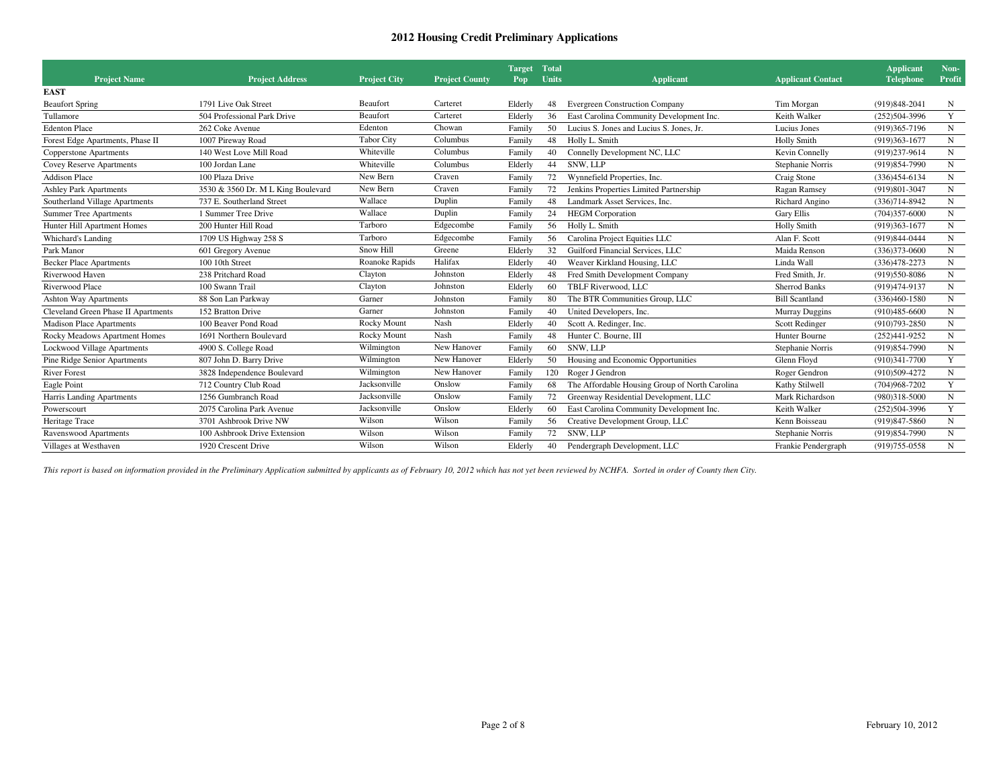|                                     |                                    |                     |                       | <b>Target</b> | <b>Total</b> |                                                |                          | <b>Applicant</b>  | Non-        |
|-------------------------------------|------------------------------------|---------------------|-----------------------|---------------|--------------|------------------------------------------------|--------------------------|-------------------|-------------|
| <b>Project Name</b>                 | <b>Project Address</b>             | <b>Project City</b> | <b>Project County</b> | Pop           | Units        | <b>Applicant</b>                               | <b>Applicant Contact</b> | <b>Telephone</b>  | Profit      |
| <b>EAST</b>                         |                                    |                     |                       |               |              |                                                |                          |                   |             |
| <b>Beaufort Spring</b>              | 1791 Live Oak Street               | Beaufort            | Carteret              | Elderly       | 48           | <b>Evergreen Construction Company</b>          | Tim Morgan               | $(919)848 - 2041$ | N           |
| Tullamore                           | 504 Professional Park Drive        | Beaufort            | Carteret              | Elderly       | 36           | East Carolina Community Development Inc.       | Keith Walker             | $(252)504-3996$   | Y           |
| <b>Edenton Place</b>                | 262 Coke Avenue                    | Edenton             | Chowan                | Family        | 50           | Lucius S. Jones and Lucius S. Jones, Jr.       | Lucius Jones             | (919)365-7196     | N           |
| Forest Edge Apartments, Phase II    | 1007 Pireway Road                  | <b>Tabor City</b>   | Columbus              | Family        | 48           | Holly L. Smith                                 | Holly Smith              | $(919)363 - 1677$ | N           |
| Copperstone Apartments              | 140 West Love Mill Road            | Whiteville          | Columbus              | Family        | 40           | Connelly Development NC, LLC                   | Kevin Connelly           | (919)237-9614     | ${\bf N}$   |
| <b>Covey Reserve Apartments</b>     | 100 Jordan Lane                    | Whiteville          | Columbus              | Elderly       | 44           | SNW, LLP                                       | Stephanie Norris         | (919) 854-7990    | ${\bf N}$   |
| <b>Addison Place</b>                | 100 Plaza Drive                    | New Bern            | Craven                | Family        | 72           | Wynnefield Properties, Inc.                    | Craig Stone              | $(336)454-6134$   | $\mathbf N$ |
| <b>Ashley Park Apartments</b>       | 3530 & 3560 Dr. M L King Boulevard | New Bern            | Craven                | Family        | 72           | Jenkins Properties Limited Partnership         | Ragan Ramsey             | (919)801-3047     | N           |
| Southerland Village Apartments      | 737 E. Southerland Street          | Wallace             | Duplin                | Family        | 48           | Landmark Asset Services, Inc.                  | Richard Angino           | $(336)714 - 8942$ | ${\bf N}$   |
| <b>Summer Tree Apartments</b>       | 1 Summer Tree Drive                | Wallace             | Duplin                | Family        | 24           | <b>HEGM</b> Corporation                        | <b>Gary Ellis</b>        | $(704)357 - 6000$ | $\mathbf N$ |
| Hunter Hill Apartment Homes         | 200 Hunter Hill Road               | Tarboro             | Edgecombe             | Family        | 56           | Holly L. Smith                                 | Holly Smith              | $(919)363 - 1677$ | $\mathbf N$ |
| Whichard's Landing                  | 1709 US Highway 258 S              | Tarboro             | Edgecombe             | Family        | 56           | Carolina Project Equities LLC                  | Alan F. Scott            | (919) 844-0444    | $\mathbf N$ |
| Park Manor                          | 601 Gregory Avenue                 | Snow Hill           | Greene                | Elderly       | 32           | Guilford Financial Services, LLC               | Maida Renson             | $(336)373-0600$   | N           |
| <b>Becker Place Apartments</b>      | 100 10th Street                    | Roanoke Rapids      | Halifax               | Elderly       | 40           | Weaver Kirkland Housing, LLC                   | Linda Wall               | $(336)478 - 2273$ | N           |
| Riverwood Haven                     | 238 Pritchard Road                 | Clayton             | Johnston              | Elderly       | 48           | Fred Smith Development Company                 | Fred Smith, Jr.          | (919) 550-8086    | $\mathbf N$ |
| Riverwood Place                     | 100 Swann Trail                    | Clayton             | Johnston              | Elderly       | 60           | TBLF Riverwood, LLC                            | <b>Sherrod Banks</b>     | (919)474-9137     | ${\bf N}$   |
| <b>Ashton Way Apartments</b>        | 88 Son Lan Parkway                 | Garner              | Johnston              | Family        | 80           | The BTR Communities Group, LLC                 | <b>Bill Scantland</b>    | $(336)460-1580$   | $\mathbf N$ |
| Cleveland Green Phase II Apartments | 152 Bratton Drive                  | Garner              | Johnston              | Family        | 40           | United Developers, Inc.                        | <b>Murray Duggins</b>    | $(910)485-6600$   | N           |
| <b>Madison Place Apartments</b>     | 100 Beaver Pond Road               | Rocky Mount         | Nash                  | Elderly       | 40           | Scott A. Redinger, Inc.                        | Scott Redinger           | $(910)793 - 2850$ | N           |
| Rocky Meadows Apartment Homes       | 1691 Northern Boulevard            | Rocky Mount         | Nash                  | Family        | 48           | Hunter C. Bourne, III                          | Hunter Bourne            | $(252)441-9252$   | ${\bf N}$   |
| <b>Lockwood Village Apartments</b>  | 4900 S. College Road               | Wilmington          | New Hanover           | Family        | 60           | SNW, LLP                                       | Stephanie Norris         | (919)854-7990     | $\mathbf N$ |
| Pine Ridge Senior Apartments        | 807 John D. Barry Drive            | Wilmington          | New Hanover           | Elderly       | 50           | Housing and Economic Opportunities             | Glenn Floyd              | $(910)341 - 7700$ | Y           |
| <b>River Forest</b>                 | 3828 Independence Boulevard        | Wilmington          | New Hanover           | Family        | 120          | Roger J Gendron                                | Roger Gendron            | $(910)509 - 4272$ | $\mathbf N$ |
| Eagle Point                         | 712 Country Club Road              | Jacksonville        | Onslow                | Family        | 68           | The Affordable Housing Group of North Carolina | Kathy Stilwell           | $(704)968 - 7202$ | Y           |
| Harris Landing Apartments           | 1256 Gumbranch Road                | Jacksonville        | Onslow                | Family        | 72           | Greenway Residential Development, LLC          | Mark Richardson          | $(980)318 - 5000$ | ${\bf N}$   |
| Powerscourt                         | 2075 Carolina Park Avenue          | Jacksonville        | Onslow                | Elderly       | 60           | East Carolina Community Development Inc.       | Keith Walker             | $(252)504-3996$   | $\mathbf Y$ |
| Heritage Trace                      | 3701 Ashbrook Drive NW             | Wilson              | Wilson                | Family        | 56           | Creative Development Group, LLC                | Kenn Boisseau            | (919) 847-5860    | N           |
| Ravenswood Apartments               | 100 Ashbrook Drive Extension       | Wilson              | Wilson                | Family        | 72           | SNW, LLP                                       | Stephanie Norris         | (919) 854-7990    | $\mathbf N$ |
| Villages at Westhaven               | 1920 Crescent Drive                | Wilson              | Wilson                | Elderly       | 40           | Pendergraph Development, LLC                   | Frankie Pendergraph      | $(919)755-0558$   | $\mathbf N$ |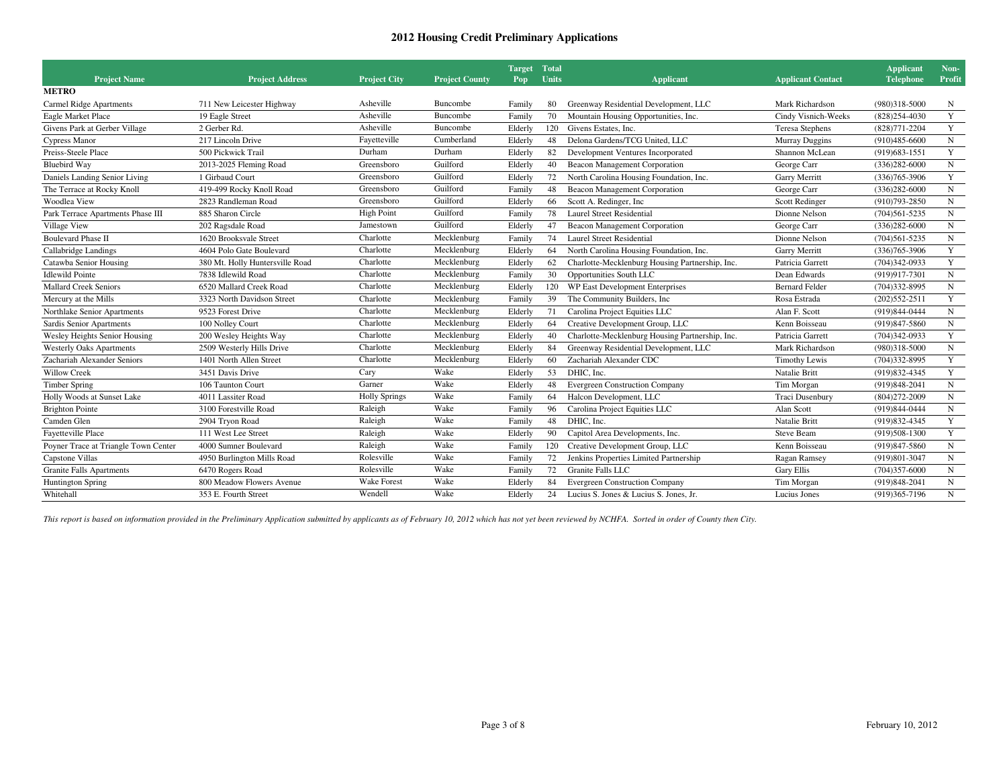| <b>Project Name</b>                  | <b>Project Address</b>          | <b>Project City</b>  | <b>Project County</b> | <b>Target</b><br>Pop | <b>Total</b><br>Units | <b>Applicant</b>                                | <b>Applicant Contact</b> | <b>Applicant</b><br><b>Telephone</b> | Non-<br>Profit |
|--------------------------------------|---------------------------------|----------------------|-----------------------|----------------------|-----------------------|-------------------------------------------------|--------------------------|--------------------------------------|----------------|
| <b>METRO</b>                         |                                 |                      |                       |                      |                       |                                                 |                          |                                      |                |
| Carmel Ridge Apartments              | 711 New Leicester Highway       | Asheville            | Buncombe              | Family               | 80                    | Greenway Residential Development, LLC           | Mark Richardson          | $(980)318 - 5000$                    | N              |
| Eagle Market Place                   | 19 Eagle Street                 | Asheville            | Buncombe              | Family               | 70                    | Mountain Housing Opportunities, Inc.            | Cindy Visnich-Weeks      | $(828)254 - 4030$                    | Y              |
| Givens Park at Gerber Village        | 2 Gerber Rd.                    | Asheville            | Buncombe              | Elderly              | 120                   | Givens Estates, Inc.                            | Teresa Stephens          | $(828)771 - 2204$                    | $\mathbf Y$    |
| Cypress Manor                        | 217 Lincoln Drive               | Fayetteville         | Cumberland            | Elderly              | 48                    | Delona Gardens/TCG United, LLC                  | <b>Murray Duggins</b>    | $(910)485 - 6600$                    | $_{\rm N}$     |
| Preiss-Steele Place                  | 500 Pickwick Trail              | Durham               | Durham                | Elderly              | 82                    | Development Ventures Incorporated               | Shannon McLean           | $(919)683 - 1551$                    | $\mathbf Y$    |
| <b>Bluebird Way</b>                  | 2013-2025 Fleming Road          | Greensboro           | Guilford              | Elderly              | 40                    | Beacon Management Corporation                   | George Carr              | $(336)282 - 6000$                    | $\mathbf N$    |
| Daniels Landing Senior Living        | 1 Girbaud Court                 | Greensboro           | Guilford              | Elderly              | 72                    | North Carolina Housing Foundation, Inc.         | Garry Merritt            | $(336)765 - 3906$                    | Y              |
| The Terrace at Rocky Knoll           | 419-499 Rocky Knoll Road        | Greensboro           | Guilford              | Family               | 48                    | <b>Beacon Management Corporation</b>            | George Carr              | $(336)282 - 6000$                    | ${\bf N}$      |
| Woodlea View                         | 2823 Randleman Road             | Greensboro           | Guilford              | Elderly              | 66                    | Scott A. Redinger, Inc.                         | Scott Redinger           | $(910)793 - 2850$                    | $\mathbf N$    |
| Park Terrace Apartments Phase III    | 885 Sharon Circle               | <b>High Point</b>    | Guilford              | Family               | 78                    | <b>Laurel Street Residential</b>                | Dionne Nelson            | $(704)561 - 5235$                    | $\mathbf N$    |
| Village View                         | 202 Ragsdale Road               | Jamestown            | Guilford              | Elderly              | 47                    | Beacon Management Corporation                   | George Carr              | $(336)282 - 6000$                    | $\mathbf N$    |
| <b>Boulevard Phase II</b>            | 1620 Brooksvale Street          | Charlotte            | Mecklenburg           | Family               | 74                    | Laurel Street Residential                       | Dionne Nelson            | $(704)561 - 5235$                    | $\mathbf N$    |
| Callabridge Landings                 | 4604 Polo Gate Boulevard        | Charlotte            | Mecklenburg           | Elderly              | 64                    | North Carolina Housing Foundation, Inc.         | Garry Merritt            | $(336)765 - 3906$                    | Y              |
| Catawba Senior Housing               | 380 Mt. Holly Huntersville Road | Charlotte            | Mecklenburg           | Elderly              | 62                    | Charlotte-Mecklenburg Housing Partnership, Inc. | Patricia Garrett         | $(704)342-0933$                      | Y              |
| <b>Idlewild Pointe</b>               | 7838 Idlewild Road              | Charlotte            | Mecklenburg           | Family               | 30                    | Opportunities South LLC                         | Dean Edwards             | (919)917-7301                        | $_{\rm N}$     |
| <b>Mallard Creek Seniors</b>         | 6520 Mallard Creek Road         | Charlotte            | Mecklenburg           | Elderly              | 120                   | WP East Development Enterprises                 | <b>Bernard Felder</b>    | $(704)332 - 8995$                    | $_{\rm N}$     |
| Mercury at the Mills                 | 3323 North Davidson Street      | Charlotte            | Mecklenburg           | Family               | 39                    | The Community Builders, Inc.                    | Rosa Estrada             | $(202)552 - 2511$                    | Y              |
| Northlake Senior Apartments          | 9523 Forest Drive               | Charlotte            | Mecklenburg           | Elderly              | 71                    | Carolina Project Equities LLC                   | Alan F. Scott            | (919)844-0444                        | ${\bf N}$      |
| Sardis Senior Apartments             | 100 Nolley Court                | Charlotte            | Mecklenburg           | Elderly              | 64                    | Creative Development Group, LLC                 | Kenn Boisseau            | $(919)847 - 5860$                    | $\mathbf N$    |
| Wesley Heights Senior Housing        | 200 Wesley Heights Way          | Charlotte            | Mecklenburg           | Elderly              | 40                    | Charlotte-Mecklenburg Housing Partnership, Inc. | Patricia Garrett         | $(704)342-0933$                      | Y              |
| <b>Westerly Oaks Apartments</b>      | 2509 Westerly Hills Drive       | Charlotte            | Mecklenburg           | Elderly              | 84                    | Greenway Residential Development, LLC           | Mark Richardson          | $(980)318 - 5000$                    | $\mathbf N$    |
| Zachariah Alexander Seniors          | 1401 North Allen Street         | Charlotte            | Mecklenburg           | Elderly              | 60                    | Zachariah Alexander CDC                         | <b>Timothy Lewis</b>     | $(704)332 - 8995$                    | Y              |
| <b>Willow Creek</b>                  | 3451 Davis Drive                | Cary                 | Wake                  | Elderly              | 53                    | DHIC, Inc.                                      | Natalie Britt            | (919) 832-4345                       | Y              |
| <b>Timber Spring</b>                 | 106 Taunton Court               | Garner               | Wake                  | Elderly              | 48                    | <b>Evergreen Construction Company</b>           | Tim Morgan               | (919) 848-2041                       | $\mathbf N$    |
| Holly Woods at Sunset Lake           | 4011 Lassiter Road              | <b>Holly Springs</b> | Wake                  | Family               | 64                    | Halcon Development, LLC                         | Traci Dusenbury          | $(804)272 - 2009$                    | $\mathbf N$    |
| <b>Brighton Pointe</b>               | 3100 Forestville Road           | Raleigh              | Wake                  | Family               | 96                    | Carolina Project Equities LLC                   | Alan Scott               | (919)844-0444                        | ${\bf N}$      |
| Camden Glen                          | 2904 Tryon Road                 | Raleigh              | Wake                  | Family               | 48                    | DHIC. Inc.                                      | Natalie Britt            | (919) 832-4345                       | Y              |
| <b>Fayetteville Place</b>            | 111 West Lee Street             | Raleigh              | Wake                  | Elderly              | 90                    | Capitol Area Developments, Inc.                 | Steve Beam               | $(919)508-1300$                      | Y              |
| Poyner Trace at Triangle Town Center | 4000 Sumner Boulevard           | Raleigh              | Wake                  | Family               | 120                   | Creative Development Group, LLC                 | Kenn Boisseau            | (919)847-5860                        | N              |
| Capstone Villas                      | 4950 Burlington Mills Road      | Rolesville           | Wake                  | Family               | 72                    | Jenkins Properties Limited Partnership          | Ragan Ramsey             | (919)801-3047                        | $\,$ N         |
| <b>Granite Falls Apartments</b>      | 6470 Rogers Road                | Rolesville           | Wake                  | Family               | 72                    | Granite Falls LLC                               | <b>Gary Ellis</b>        | $(704)357-6000$                      | $\mathbf N$    |
| <b>Huntington Spring</b>             | 800 Meadow Flowers Avenue       | <b>Wake Forest</b>   | Wake                  | Elderly              | 84                    | <b>Evergreen Construction Company</b>           | Tim Morgan               | $(919)848 - 2041$                    | $\mathbf N$    |
| Whitehall                            | 353 E. Fourth Street            | Wendell              | Wake                  | Elderly              | 24                    | Lucius S. Jones & Lucius S. Jones, Jr.          | Lucius Jones             | (919)365-7196                        | $\mathbf N$    |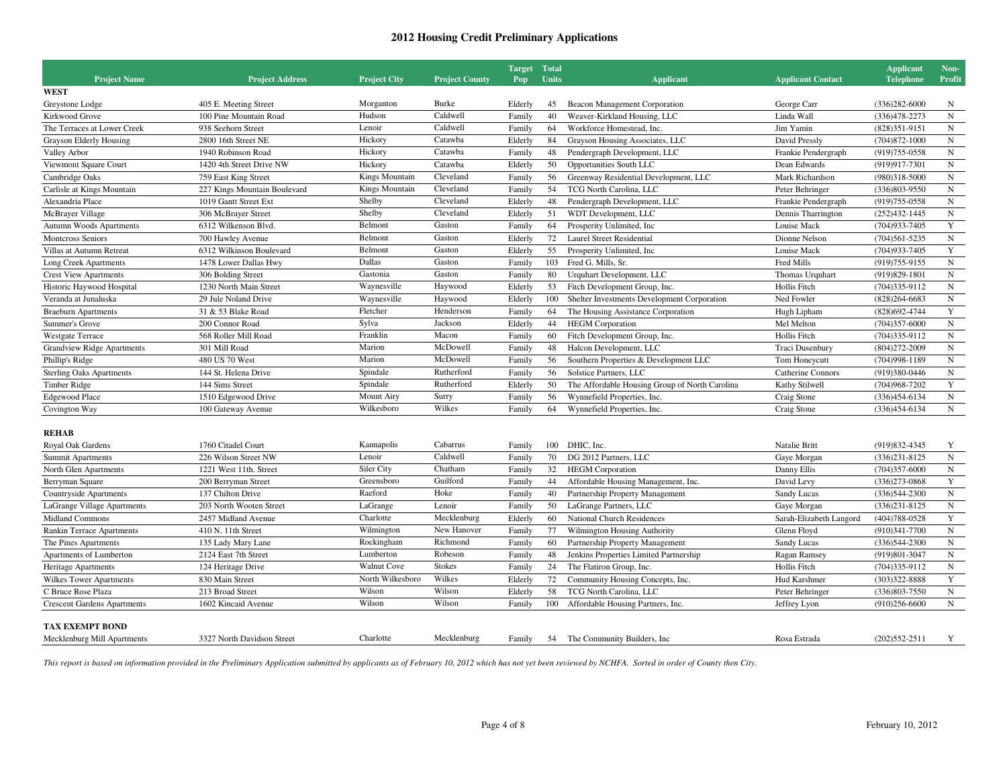| <b>Project Name</b><br><b>Project Address</b><br><b>Project City</b><br><b>Project County</b><br>Units<br><b>Applicant Contact</b><br>Pop<br><b>Applicant</b><br><b>WEST</b><br>Burke<br>Greystone Lodge<br>405 E. Meeting Street<br>Morganton<br>Elderly<br>45<br>Beacon Management Corporation<br>George Carr<br>Hudson<br>Caldwell<br>40<br>Weaver-Kirkland Housing, LLC<br>Kirkwood Grove<br>100 Pine Mountain Road<br>Family<br>Linda Wall<br>Lenoir<br>Caldwell<br>The Terraces at Lower Creek<br>938 Seehorn Street<br>64<br>Workforce Homestead, Inc.<br>Jim Yamin<br>Family<br>Hickory<br>Catawba<br><b>Grayson Elderly Housing</b><br>2800 16th Street NE<br>Elderly<br>Grayson Housing Associates, LLC<br>84<br>David Pressly<br>Hickory<br>1940 Robinson Road<br>Catawba<br>48<br>Valley Arbor<br>Family<br>Pendergraph Development, LLC<br>Frankie Pendergraph<br>Hickory<br>Catawba<br>50<br>Viewmont Square Court<br>1420 4th Street Drive NW<br>Elderly<br>Opportunities South LLC<br>Dean Edwards<br>Cleveland<br>Kings Mountain<br>Cambridge Oaks<br>56<br>Greenway Residential Development, LLC<br>759 East King Street<br>Family<br>Mark Richardson<br>Cleveland<br>Kings Mountain<br>54<br>TCG North Carolina, LLC<br>Carlisle at Kings Mountain<br>227 Kings Mountain Boulevard<br>Family<br>Peter Behringer<br>Shelby<br>Cleveland<br>48<br>Alexandria Place<br>1019 Gantt Street Ext<br>Elderly<br>Pendergraph Development, LLC<br>Frankie Pendergraph<br>Shelby<br>Cleveland<br>51<br>McBrayer Village<br>306 McBrayer Street<br>Elderly<br>WDT Development, LLC<br>Dennis Tharrington<br>Belmont<br>Gaston<br>64<br><b>Autumn Woods Apartments</b><br>6312 Wilkenson Blvd.<br>Family<br>Prosperity Unlimited, Inc.<br>Louise Mack<br>Belmont<br>Gaston<br>72<br>Laurel Street Residential<br>Montcross Seniors<br>Elderly<br>Dionne Nelson | <b>Applicant</b><br>Non-<br><b>Telephone</b><br>Profit |
|----------------------------------------------------------------------------------------------------------------------------------------------------------------------------------------------------------------------------------------------------------------------------------------------------------------------------------------------------------------------------------------------------------------------------------------------------------------------------------------------------------------------------------------------------------------------------------------------------------------------------------------------------------------------------------------------------------------------------------------------------------------------------------------------------------------------------------------------------------------------------------------------------------------------------------------------------------------------------------------------------------------------------------------------------------------------------------------------------------------------------------------------------------------------------------------------------------------------------------------------------------------------------------------------------------------------------------------------------------------------------------------------------------------------------------------------------------------------------------------------------------------------------------------------------------------------------------------------------------------------------------------------------------------------------------------------------------------------------------------------------------------------------------------------------------------------------------------------------------------------|--------------------------------------------------------|
|                                                                                                                                                                                                                                                                                                                                                                                                                                                                                                                                                                                                                                                                                                                                                                                                                                                                                                                                                                                                                                                                                                                                                                                                                                                                                                                                                                                                                                                                                                                                                                                                                                                                                                                                                                                                                                                                      |                                                        |
|                                                                                                                                                                                                                                                                                                                                                                                                                                                                                                                                                                                                                                                                                                                                                                                                                                                                                                                                                                                                                                                                                                                                                                                                                                                                                                                                                                                                                                                                                                                                                                                                                                                                                                                                                                                                                                                                      | $(336)282 - 6000$<br>N                                 |
|                                                                                                                                                                                                                                                                                                                                                                                                                                                                                                                                                                                                                                                                                                                                                                                                                                                                                                                                                                                                                                                                                                                                                                                                                                                                                                                                                                                                                                                                                                                                                                                                                                                                                                                                                                                                                                                                      | $\mathbf N$<br>$(336)478 - 2273$                       |
|                                                                                                                                                                                                                                                                                                                                                                                                                                                                                                                                                                                                                                                                                                                                                                                                                                                                                                                                                                                                                                                                                                                                                                                                                                                                                                                                                                                                                                                                                                                                                                                                                                                                                                                                                                                                                                                                      | $(828)351-9151$<br>$\mathbf N$                         |
|                                                                                                                                                                                                                                                                                                                                                                                                                                                                                                                                                                                                                                                                                                                                                                                                                                                                                                                                                                                                                                                                                                                                                                                                                                                                                                                                                                                                                                                                                                                                                                                                                                                                                                                                                                                                                                                                      | $(704)872 - 1000$<br>$\mathbf N$                       |
|                                                                                                                                                                                                                                                                                                                                                                                                                                                                                                                                                                                                                                                                                                                                                                                                                                                                                                                                                                                                                                                                                                                                                                                                                                                                                                                                                                                                                                                                                                                                                                                                                                                                                                                                                                                                                                                                      | ${\bf N}$<br>(919) 755-0558                            |
|                                                                                                                                                                                                                                                                                                                                                                                                                                                                                                                                                                                                                                                                                                                                                                                                                                                                                                                                                                                                                                                                                                                                                                                                                                                                                                                                                                                                                                                                                                                                                                                                                                                                                                                                                                                                                                                                      | $_{\rm N}$<br>(919)917-7301                            |
|                                                                                                                                                                                                                                                                                                                                                                                                                                                                                                                                                                                                                                                                                                                                                                                                                                                                                                                                                                                                                                                                                                                                                                                                                                                                                                                                                                                                                                                                                                                                                                                                                                                                                                                                                                                                                                                                      | $\mathbf N$<br>$(980)318 - 5000$                       |
|                                                                                                                                                                                                                                                                                                                                                                                                                                                                                                                                                                                                                                                                                                                                                                                                                                                                                                                                                                                                                                                                                                                                                                                                                                                                                                                                                                                                                                                                                                                                                                                                                                                                                                                                                                                                                                                                      | $_{\rm N}$<br>$(336)803 - 9550$                        |
|                                                                                                                                                                                                                                                                                                                                                                                                                                                                                                                                                                                                                                                                                                                                                                                                                                                                                                                                                                                                                                                                                                                                                                                                                                                                                                                                                                                                                                                                                                                                                                                                                                                                                                                                                                                                                                                                      | ${\bf N}$<br>$(919)755-0558$                           |
|                                                                                                                                                                                                                                                                                                                                                                                                                                                                                                                                                                                                                                                                                                                                                                                                                                                                                                                                                                                                                                                                                                                                                                                                                                                                                                                                                                                                                                                                                                                                                                                                                                                                                                                                                                                                                                                                      | $(252)432 - 1445$<br>${\bf N}$                         |
|                                                                                                                                                                                                                                                                                                                                                                                                                                                                                                                                                                                                                                                                                                                                                                                                                                                                                                                                                                                                                                                                                                                                                                                                                                                                                                                                                                                                                                                                                                                                                                                                                                                                                                                                                                                                                                                                      | Y<br>(704) 933-7405                                    |
| 700 Hawley Avenue                                                                                                                                                                                                                                                                                                                                                                                                                                                                                                                                                                                                                                                                                                                                                                                                                                                                                                                                                                                                                                                                                                                                                                                                                                                                                                                                                                                                                                                                                                                                                                                                                                                                                                                                                                                                                                                    | $\mathbf N$<br>$(704)561 - 5235$                       |
| Belmont<br>Gaston<br>Villas at Autumn Retreat<br>6312 Wilkinson Boulevard<br>Elderly<br>55<br>Prosperity Unlimited, Inc.<br>Louise Mack                                                                                                                                                                                                                                                                                                                                                                                                                                                                                                                                                                                                                                                                                                                                                                                                                                                                                                                                                                                                                                                                                                                                                                                                                                                                                                                                                                                                                                                                                                                                                                                                                                                                                                                              | $\mathbf Y$<br>$(704)933 - 7405$                       |
| Dallas<br>Gaston<br>103<br>1478 Lower Dallas Hwy<br>Family<br>Fred G. Mills, Sr.<br>Fred Mills<br>Long Creek Apartments                                                                                                                                                                                                                                                                                                                                                                                                                                                                                                                                                                                                                                                                                                                                                                                                                                                                                                                                                                                                                                                                                                                                                                                                                                                                                                                                                                                                                                                                                                                                                                                                                                                                                                                                              | ${\bf N}$<br>(919) 755-9155                            |
| Gaston<br>Gastonia<br>80<br><b>Crest View Apartments</b><br>306 Bolding Street<br>Family<br>Urquhart Development, LLC<br>Thomas Urquhart                                                                                                                                                                                                                                                                                                                                                                                                                                                                                                                                                                                                                                                                                                                                                                                                                                                                                                                                                                                                                                                                                                                                                                                                                                                                                                                                                                                                                                                                                                                                                                                                                                                                                                                             | $_{\rm N}$<br>$(919)829-1801$                          |
| Waynesville<br>Haywood<br>Elderly<br>53<br>Historic Haywood Hospital<br>1230 North Main Street<br>Fitch Development Group, Inc.<br>Hollis Fitch                                                                                                                                                                                                                                                                                                                                                                                                                                                                                                                                                                                                                                                                                                                                                                                                                                                                                                                                                                                                                                                                                                                                                                                                                                                                                                                                                                                                                                                                                                                                                                                                                                                                                                                      | $\mathbf N$<br>$(704)335-9112$                         |
| Waynesville<br>Haywood<br>Veranda at Junaluska<br>29 Jule Noland Drive<br>Elderly<br>100<br>Shelter Investments Development Corporation<br>Ned Fowler                                                                                                                                                                                                                                                                                                                                                                                                                                                                                                                                                                                                                                                                                                                                                                                                                                                                                                                                                                                                                                                                                                                                                                                                                                                                                                                                                                                                                                                                                                                                                                                                                                                                                                                | ${\bf N}$<br>$(828)264 - 6683$                         |
| Fletcher<br>31 & 53 Blake Road<br>Henderson<br>64<br>Family<br>The Housing Assistance Corporation<br>Hugh Lipham<br><b>Braeburn Apartments</b>                                                                                                                                                                                                                                                                                                                                                                                                                                                                                                                                                                                                                                                                                                                                                                                                                                                                                                                                                                                                                                                                                                                                                                                                                                                                                                                                                                                                                                                                                                                                                                                                                                                                                                                       | Y<br>$(828)692 - 4744$                                 |
| Sylva<br>Jackson<br>44<br>Summer's Grove<br>200 Connor Road<br>Elderly<br><b>HEGM</b> Corporation<br>Mel Melton                                                                                                                                                                                                                                                                                                                                                                                                                                                                                                                                                                                                                                                                                                                                                                                                                                                                                                                                                                                                                                                                                                                                                                                                                                                                                                                                                                                                                                                                                                                                                                                                                                                                                                                                                      | $(704)357 - 6000$<br>$\mathbf N$                       |
| Franklin<br>Macon<br>568 Roller Mill Road<br>60<br>Fitch Development Group, Inc.<br>Hollis Fitch<br>Westgate Terrace<br>Family                                                                                                                                                                                                                                                                                                                                                                                                                                                                                                                                                                                                                                                                                                                                                                                                                                                                                                                                                                                                                                                                                                                                                                                                                                                                                                                                                                                                                                                                                                                                                                                                                                                                                                                                       | $\mathbf N$<br>$(704)335-9112$                         |
| McDowell<br>301 Mill Road<br>Marion<br>48<br>Halcon Development, LLC<br><b>Grandview Ridge Apartments</b><br>Family<br>Traci Dusenbury                                                                                                                                                                                                                                                                                                                                                                                                                                                                                                                                                                                                                                                                                                                                                                                                                                                                                                                                                                                                                                                                                                                                                                                                                                                                                                                                                                                                                                                                                                                                                                                                                                                                                                                               | $(804)272 - 2009$<br>$_{\rm N}$                        |
| McDowell<br>Marion<br>480 US 70 West<br>Phillip's Ridge<br>Family<br>56<br>Southern Properties & Development LLC<br>Tom Honeycutt                                                                                                                                                                                                                                                                                                                                                                                                                                                                                                                                                                                                                                                                                                                                                                                                                                                                                                                                                                                                                                                                                                                                                                                                                                                                                                                                                                                                                                                                                                                                                                                                                                                                                                                                    | ${\bf N}$<br>$(704)998-1189$                           |
| Spindale<br>Rutherford<br>56<br><b>Sterling Oaks Apartments</b><br>144 St. Helena Drive<br>Family<br>Solstice Partners, LLC<br>Catherine Connors                                                                                                                                                                                                                                                                                                                                                                                                                                                                                                                                                                                                                                                                                                                                                                                                                                                                                                                                                                                                                                                                                                                                                                                                                                                                                                                                                                                                                                                                                                                                                                                                                                                                                                                     | ${\bf N}$<br>(919)380-0446                             |
| Rutherford<br>Spindale<br>Elderly<br>50<br>The Affordable Housing Group of North Carolina<br>Timber Ridge<br>144 Sims Street<br>Kathy Stilwell                                                                                                                                                                                                                                                                                                                                                                                                                                                                                                                                                                                                                                                                                                                                                                                                                                                                                                                                                                                                                                                                                                                                                                                                                                                                                                                                                                                                                                                                                                                                                                                                                                                                                                                       | $\mathbf Y$<br>$(704)968 - 7202$                       |
| Mount Airy<br>Surry<br><b>Edgewood Place</b><br>1510 Edgewood Drive<br>Family<br>56<br>Wynnefield Properties, Inc.<br>Craig Stone                                                                                                                                                                                                                                                                                                                                                                                                                                                                                                                                                                                                                                                                                                                                                                                                                                                                                                                                                                                                                                                                                                                                                                                                                                                                                                                                                                                                                                                                                                                                                                                                                                                                                                                                    | $\mathbf N$<br>$(336)454-6134$                         |
| Wilkes<br>Wilkesboro<br>100 Gateway Avenue<br>Family<br>64<br>Wynnefield Properties, Inc.<br>Craig Stone<br>Covington Way                                                                                                                                                                                                                                                                                                                                                                                                                                                                                                                                                                                                                                                                                                                                                                                                                                                                                                                                                                                                                                                                                                                                                                                                                                                                                                                                                                                                                                                                                                                                                                                                                                                                                                                                            | $(336)454-6134$<br>$_{\rm N}$                          |
| <b>REHAB</b>                                                                                                                                                                                                                                                                                                                                                                                                                                                                                                                                                                                                                                                                                                                                                                                                                                                                                                                                                                                                                                                                                                                                                                                                                                                                                                                                                                                                                                                                                                                                                                                                                                                                                                                                                                                                                                                         |                                                        |
| Cabarrus<br>DHIC, Inc.<br>Royal Oak Gardens<br>1760 Citadel Court<br>Kannapolis<br>100<br>Natalie Britt<br>Family                                                                                                                                                                                                                                                                                                                                                                                                                                                                                                                                                                                                                                                                                                                                                                                                                                                                                                                                                                                                                                                                                                                                                                                                                                                                                                                                                                                                                                                                                                                                                                                                                                                                                                                                                    | Y<br>(919) 832-4345                                    |
| Lenoir<br>Caldwell<br>70<br>DG 2012 Partners, LLC<br>226 Wilson Street NW<br>Family<br>Gaye Morgan<br>Summit Apartments                                                                                                                                                                                                                                                                                                                                                                                                                                                                                                                                                                                                                                                                                                                                                                                                                                                                                                                                                                                                                                                                                                                                                                                                                                                                                                                                                                                                                                                                                                                                                                                                                                                                                                                                              | $(336)231 - 8125$<br>${\bf N}$                         |
| Siler City<br>Chatham<br>32<br>Danny Ellis<br>North Glen Apartments<br>1221 West 11th. Street<br>Family<br><b>HEGM</b> Corporation                                                                                                                                                                                                                                                                                                                                                                                                                                                                                                                                                                                                                                                                                                                                                                                                                                                                                                                                                                                                                                                                                                                                                                                                                                                                                                                                                                                                                                                                                                                                                                                                                                                                                                                                   | $(704)357 - 6000$<br>$\mathbf N$                       |
| Guilford<br>Greensboro<br>44<br>200 Berryman Street<br>Family<br>Affordable Housing Management, Inc.<br>David Levy<br>Berryman Square                                                                                                                                                                                                                                                                                                                                                                                                                                                                                                                                                                                                                                                                                                                                                                                                                                                                                                                                                                                                                                                                                                                                                                                                                                                                                                                                                                                                                                                                                                                                                                                                                                                                                                                                | Y<br>$(336)273-0868$                                   |
| Raeford<br>Hoke<br>Countryside Apartments<br>137 Chilton Drive<br>Family<br>40<br>Partnership Property Management<br>Sandy Lucas                                                                                                                                                                                                                                                                                                                                                                                                                                                                                                                                                                                                                                                                                                                                                                                                                                                                                                                                                                                                                                                                                                                                                                                                                                                                                                                                                                                                                                                                                                                                                                                                                                                                                                                                     | ${\bf N}$<br>$(336)544 - 2300$                         |
| 50<br>203 North Wooten Street<br>LaGrange<br>Lenoir<br>Family<br>LaGrange Partners, LLC<br>LaGrange Village Apartments<br>Gaye Morgan                                                                                                                                                                                                                                                                                                                                                                                                                                                                                                                                                                                                                                                                                                                                                                                                                                                                                                                                                                                                                                                                                                                                                                                                                                                                                                                                                                                                                                                                                                                                                                                                                                                                                                                                | ${\bf N}$<br>$(336)231 - 8125$                         |
| Charlotte<br>Mecklenburg<br><b>Midland Commons</b><br>2457 Midland Avenue<br>Elderly<br>60<br><b>National Church Residences</b><br>Sarah-Elizabeth Langord                                                                                                                                                                                                                                                                                                                                                                                                                                                                                                                                                                                                                                                                                                                                                                                                                                                                                                                                                                                                                                                                                                                                                                                                                                                                                                                                                                                                                                                                                                                                                                                                                                                                                                           | Y<br>$(404)788-0528$                                   |
| New Hanover<br>77<br>410 N. 11th Street<br>Wilmington<br>Family<br>Wilmington Housing Authority<br>Rankin Terrace Apartments<br>Glenn Floyd                                                                                                                                                                                                                                                                                                                                                                                                                                                                                                                                                                                                                                                                                                                                                                                                                                                                                                                                                                                                                                                                                                                                                                                                                                                                                                                                                                                                                                                                                                                                                                                                                                                                                                                          | ${\bf N}$<br>$(910)341 - 7700$                         |
| Richmond<br>135 Lady Mary Lane<br>Rockingham<br>Family<br>60<br>Sandy Lucas<br>The Pines Apartments<br>Partnership Property Management                                                                                                                                                                                                                                                                                                                                                                                                                                                                                                                                                                                                                                                                                                                                                                                                                                                                                                                                                                                                                                                                                                                                                                                                                                                                                                                                                                                                                                                                                                                                                                                                                                                                                                                               | $\mathbf N$<br>$(336)544 - 2300$                       |
| Lumberton<br>Robeson<br>48<br>Apartments of Lumberton<br>2124 East 7th Street<br>Family<br>Jenkins Properties Limited Partnership<br>Ragan Ramsey                                                                                                                                                                                                                                                                                                                                                                                                                                                                                                                                                                                                                                                                                                                                                                                                                                                                                                                                                                                                                                                                                                                                                                                                                                                                                                                                                                                                                                                                                                                                                                                                                                                                                                                    | ${\bf N}$<br>(919) 801-3047                            |
| <b>Walnut Cove</b><br><b>Stokes</b><br>24<br>Heritage Apartments<br>124 Heritage Drive<br>Family<br>The Flatiron Group, Inc.<br>Hollis Fitch                                                                                                                                                                                                                                                                                                                                                                                                                                                                                                                                                                                                                                                                                                                                                                                                                                                                                                                                                                                                                                                                                                                                                                                                                                                                                                                                                                                                                                                                                                                                                                                                                                                                                                                         | $_{\rm N}$<br>$(704)335-9112$                          |
| Wilkes<br>North Wilkesboro<br><b>Wilkes Tower Apartments</b><br>830 Main Street<br>Elderly<br>72<br>Community Housing Concepts, Inc.<br>Hud Karshmer                                                                                                                                                                                                                                                                                                                                                                                                                                                                                                                                                                                                                                                                                                                                                                                                                                                                                                                                                                                                                                                                                                                                                                                                                                                                                                                                                                                                                                                                                                                                                                                                                                                                                                                 |                                                        |
| Wilson<br>Wilson<br>58<br>C Bruce Rose Plaza<br>213 Broad Street<br>Elderly<br>TCG North Carolina, LLC<br>Peter Behringer                                                                                                                                                                                                                                                                                                                                                                                                                                                                                                                                                                                                                                                                                                                                                                                                                                                                                                                                                                                                                                                                                                                                                                                                                                                                                                                                                                                                                                                                                                                                                                                                                                                                                                                                            | Y<br>$(303)322 - 8888$                                 |
| Wilson<br>Wilson<br>1602 Kincaid Avenue<br>100<br>Affordable Housing Partners, Inc.<br><b>Crescent Gardens Apartments</b><br>Family<br>Jeffrey Lyon                                                                                                                                                                                                                                                                                                                                                                                                                                                                                                                                                                                                                                                                                                                                                                                                                                                                                                                                                                                                                                                                                                                                                                                                                                                                                                                                                                                                                                                                                                                                                                                                                                                                                                                  | $\mathbf N$<br>$(336)803 - 7550$                       |
| <b>TAX EXEMPT BOND</b>                                                                                                                                                                                                                                                                                                                                                                                                                                                                                                                                                                                                                                                                                                                                                                                                                                                                                                                                                                                                                                                                                                                                                                                                                                                                                                                                                                                                                                                                                                                                                                                                                                                                                                                                                                                                                                               | $_{\rm N}$<br>$(910)256-6600$                          |
| Charlotte<br>Mecklenburg<br>$(202)552 - 2511$<br>3327 North Davidson Street<br>The Community Builders, Inc.<br>Rosa Estrada<br>Mecklenburg Mill Apartments<br>Family<br>54                                                                                                                                                                                                                                                                                                                                                                                                                                                                                                                                                                                                                                                                                                                                                                                                                                                                                                                                                                                                                                                                                                                                                                                                                                                                                                                                                                                                                                                                                                                                                                                                                                                                                           |                                                        |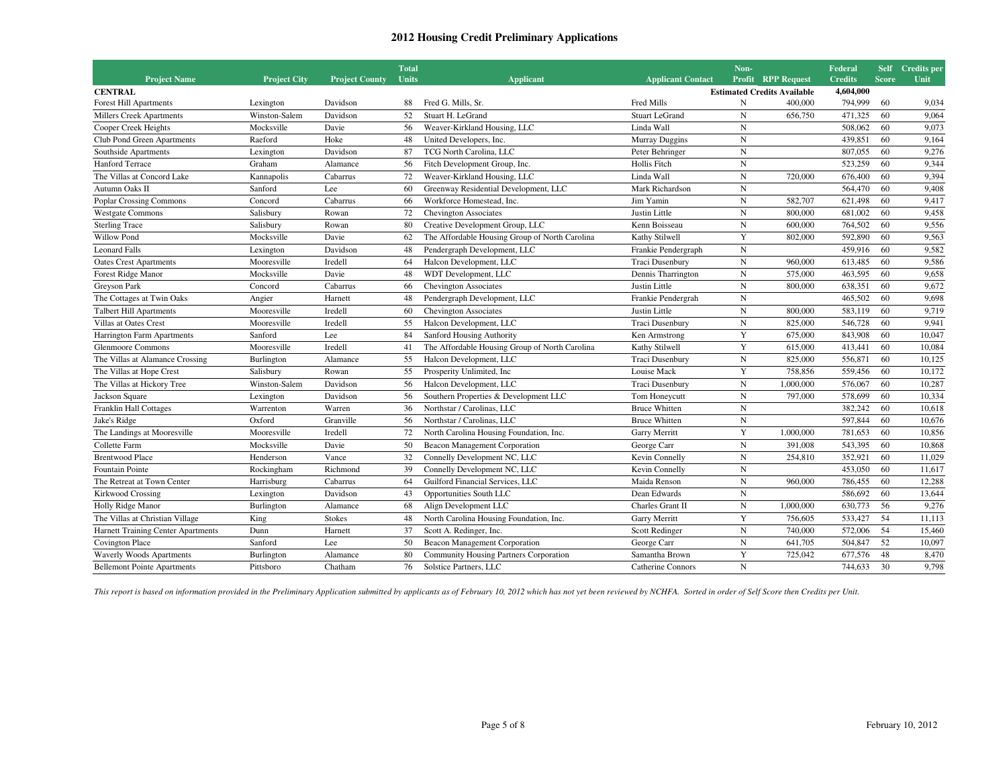|                                    |                     |                       | <b>Total</b> |                                                |                          | Non-        |                                    | Federal        |              | Self Credits per |
|------------------------------------|---------------------|-----------------------|--------------|------------------------------------------------|--------------------------|-------------|------------------------------------|----------------|--------------|------------------|
| <b>Project Name</b>                | <b>Project City</b> | <b>Project County</b> | <b>Units</b> | <b>Applicant</b>                               | <b>Applicant Contact</b> | Profit      | <b>RPP Request</b>                 | <b>Credits</b> | <b>Score</b> | Unit             |
| <b>CENTRAL</b>                     |                     |                       |              |                                                |                          |             | <b>Estimated Credits Available</b> | 4,604,000      |              |                  |
| <b>Forest Hill Apartments</b>      | Lexington           | Davidson              | 88           | Fred G. Mills, Sr.                             | <b>Fred Mills</b>        | N           | 400,000                            | 794,999        | 60           | 9,034            |
| <b>Millers Creek Apartments</b>    | Winston-Salem       | Davidson              | 52           | Stuart H. LeGrand                              | <b>Stuart LeGrand</b>    | N           | 656,750                            | 471,325        | 60           | 9,064            |
| Cooper Creek Heights               | Mocksville          | Davie                 | 56           | Weaver-Kirkland Housing, LLC                   | Linda Wall               | $\mathbf N$ |                                    | 508,062        | 60           | 9,073            |
| Club Pond Green Apartments         | Raeford             | Hoke                  | 48           | United Developers, Inc.                        | Murray Duggins           | $\mathbf N$ |                                    | 439,851        | 60           | 9,164            |
| Southside Apartments               | Lexington           | Davidson              | 87           | TCG North Carolina, LLC                        | Peter Behringer          | $\mathbf N$ |                                    | 807,055        | 60           | 9,276            |
| Hanford Terrace                    | Graham              | Alamance              | 56           | Fitch Development Group, Inc.                  | Hollis Fitch             | N           |                                    | 523,259        | 60           | 9,344            |
| The Villas at Concord Lake         | Kannapolis          | Cabarrus              | 72           | Weaver-Kirkland Housing, LLC                   | Linda Wall               | N           | 720,000                            | 676,400        | 60           | 9,394            |
| Autumn Oaks II                     | Sanford             | Lee                   | 60           | Greenway Residential Development, LLC          | Mark Richardson          | $\mathbf N$ |                                    | 564,470        | 60           | 9,408            |
| <b>Poplar Crossing Commons</b>     | Concord             | Cabarrus              | 66           | Workforce Homestead, Inc.                      | Jim Yamin                | N           | 582,707                            | 621,498        | 60           | 9,417            |
| <b>Westgate Commons</b>            | Salisbury           | Rowan                 | 72           | <b>Chevington Associates</b>                   | Justin Little            | $\mathbf N$ | 800,000                            | 681,002        | 60           | 9,458            |
| <b>Sterling Trace</b>              | Salisbury           | Rowan                 | 80           | Creative Development Group, LLC                | Kenn Boisseau            | N           | 600,000                            | 764,502        | 60           | 9,556            |
| Willow Pond                        | Mocksville          | Davie                 | 62           | The Affordable Housing Group of North Carolina | Kathy Stilwell           | Y           | 802,000                            | 592,890        | 60           | 9,563            |
| <b>Leonard Falls</b>               | Lexington           | Davidson              | 48           | Pendergraph Development, LLC                   | Frankie Pendergraph      | $_{\rm N}$  |                                    | 459,916        | 60           | 9,582            |
| <b>Oates Crest Apartments</b>      | Mooresville         | Iredell               | 64           | Halcon Development, LLC                        | Traci Dusenbury          | N           | 960,000                            | 613,485        | 60           | 9,586            |
| Forest Ridge Manor                 | Mocksville          | Davie                 | 48           | WDT Development, LLC                           | Dennis Tharrington       | N           | 575,000                            | 463,595        | 60           | 9,658            |
| Greyson Park                       | Concord             | Cabarrus              | 66           | <b>Chevington Associates</b>                   | Justin Little            | N           | 800,000                            | 638,351        | 60           | 9,672            |
| The Cottages at Twin Oaks          | Angier              | Harnett               | 48           | Pendergraph Development, LLC                   | Frankie Pendergrah       | $_{\rm N}$  |                                    | 465,502        | 60           | 9,698            |
| <b>Talbert Hill Apartments</b>     | Mooresville         | Iredell               | 60           | <b>Chevington Associates</b>                   | Justin Little            | $\mathbf N$ | 800,000                            | 583,119        | 60           | 9,719            |
| Villas at Oates Crest              | Mooresville         | Iredell               | 55           | Halcon Development, LLC                        | Traci Dusenbury          | N           | 825,000                            | 546,728        | 60           | 9,941            |
| Harrington Farm Apartments         | Sanford             | Lee                   | 84           | Sanford Housing Authority                      | Ken Armstrong            | Y           | 675,000                            | 843,908        | 60           | 10,047           |
| <b>Glenmoore Commons</b>           | Mooresville         | Iredell               | 41           | The Affordable Housing Group of North Carolina | Kathy Stilwell           | Y           | 615,000                            | 413,441        | 60           | 10,084           |
| The Villas at Alamance Crossing    | Burlington          | Alamance              | 55           | Halcon Development, LLC                        | Traci Dusenbury          | $\mathbf N$ | 825,000                            | 556,871        | 60           | 10,125           |
| The Villas at Hope Crest           | Salisbury           | Rowan                 | 55           | Prosperity Unlimited, Inc.                     | Louise Mack              | Y           | 758,856                            | 559,456        | 60           | 10,172           |
| The Villas at Hickory Tree         | Winston-Salem       | Davidson              | 56           | Halcon Development, LLC                        | Traci Dusenbury          | $\mathbf N$ | 1,000,000                          | 576,067        | 60           | 10,287           |
| Jackson Square                     | Lexington           | Davidson              | 56           | Southern Properties & Development LLC          | Tom Honeycutt            | N           | 797,000                            | 578,699        | 60           | 10,334           |
| Franklin Hall Cottages             | Warrenton           | Warren                | 36           | Northstar / Carolinas, LLC                     | <b>Bruce Whitten</b>     | N           |                                    | 382,242        | 60           | 10,618           |
| Jake's Ridge                       | Oxford              | Granville             | 56           | Northstar / Carolinas, LLC                     | <b>Bruce Whitten</b>     | $\mathbf N$ |                                    | 597,844        | 60           | 10,676           |
| The Landings at Mooresville        | Mooresville         | Iredell               | 72           | North Carolina Housing Foundation, Inc.        | Garry Merritt            | Y           | 1,000,000                          | 781,653        | 60           | 10,856           |
| Collette Farm                      | Mocksville          | Davie                 | 50           | <b>Beacon Management Corporation</b>           | George Carr              | N           | 391,008                            | 543,395        | 60           | 10,868           |
| <b>Brentwood Place</b>             | Henderson           | Vance                 | 32           | Connelly Development NC, LLC                   | Kevin Connelly           | $_{\rm N}$  | 254,810                            | 352,921        | 60           | 11,029           |
| Fountain Pointe                    | Rockingham          | Richmond              | 39           | Connelly Development NC, LLC                   | Kevin Connelly           | $\mathbf N$ |                                    | 453,050        | 60           | 11,617           |
| The Retreat at Town Center         | Harrisburg          | Cabarrus              | 64           | Guilford Financial Services, LLC               | Maida Renson             | $\mathbf N$ | 960,000                            | 786,455        | 60           | 12,288           |
| <b>Kirkwood Crossing</b>           | Lexington           | Davidson              | 43           | Opportunities South LLC                        | Dean Edwards             | N           |                                    | 586,692        | 60           | 13,644           |
| Holly Ridge Manor                  | Burlington          | Alamance              | 68           | Align Development LLC                          | Charles Grant II         | N           | 1,000,000                          | 630,773        | 56           | 9,276            |
| The Villas at Christian Village    | King                | <b>Stokes</b>         | 48           | North Carolina Housing Foundation, Inc.        | Garry Merritt            | Y           | 756,605                            | 533,427        | 54           | 11,113           |
| Harnett Training Center Apartments | Dunn                | Harnett               | 37           | Scott A. Redinger, Inc.                        | Scott Redinger           | $\mathbf N$ | 740,000                            | 572,006        | 54           | 15,460           |
| Covington Place                    | Sanford             | Lee                   | 50           | <b>Beacon Management Corporation</b>           | George Carr              | $\mathbf N$ | 641,705                            | 504,847        | 52           | 10,097           |
| Waverly Woods Apartments           | Burlington          | Alamance              | 80           | Community Housing Partners Corporation         | Samantha Brown           | Y           | 725,042                            | 677,576        | 48           | 8,470            |
| <b>Bellemont Pointe Apartments</b> | Pittsboro           | Chatham               | 76           | Solstice Partners, LLC                         | <b>Catherine Connors</b> | N           |                                    | 744,633        | 30           | 9.798            |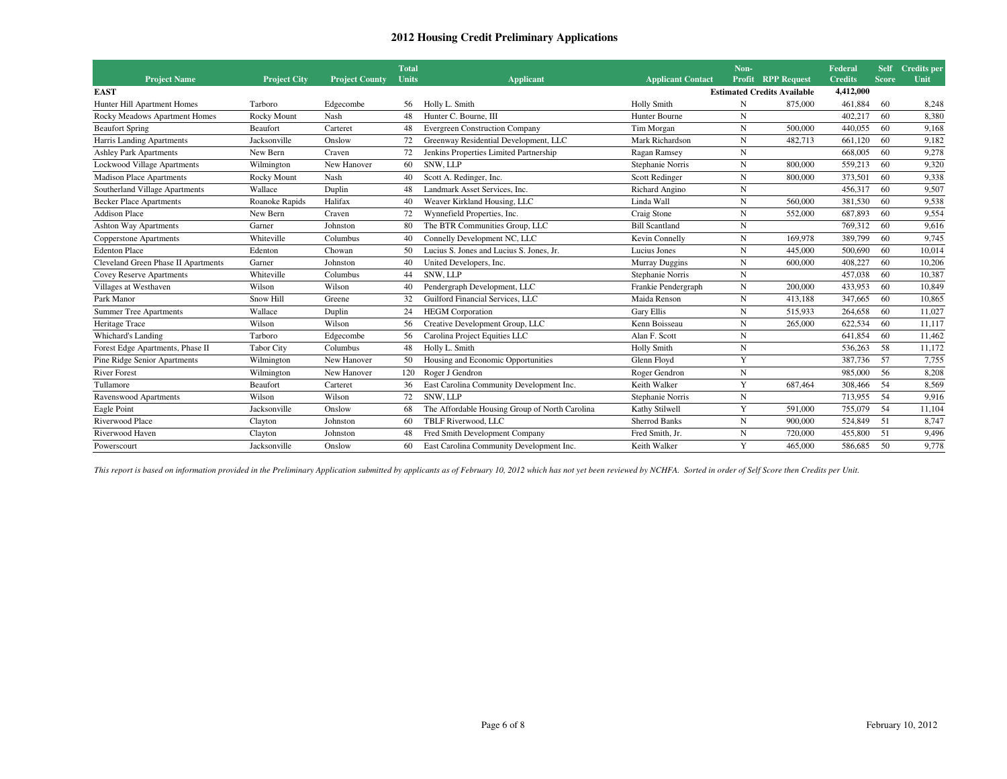|                                     |                     |                       | <b>Total</b><br><b>Units</b> |                                                |                          | Non-<br>Profit |                                    | Federal<br><b>Credits</b> | Self<br><b>Score</b> | Credits per<br>Unit |
|-------------------------------------|---------------------|-----------------------|------------------------------|------------------------------------------------|--------------------------|----------------|------------------------------------|---------------------------|----------------------|---------------------|
| <b>Project Name</b>                 | <b>Project City</b> | <b>Project County</b> |                              | <b>Applicant</b>                               | <b>Applicant Contact</b> |                | <b>RPP Request</b>                 | 4,412,000                 |                      |                     |
| <b>EAST</b>                         |                     |                       |                              |                                                |                          |                | <b>Estimated Credits Available</b> |                           |                      |                     |
| Hunter Hill Apartment Homes         | Tarboro             | Edgecombe             | 56                           | Holly L. Smith                                 | <b>Holly Smith</b>       | N              | 875,000                            | 461,884                   | 60                   | 8,248               |
| Rocky Meadows Apartment Homes       | <b>Rocky Mount</b>  | Nash                  | 48                           | Hunter C. Bourne, III                          | Hunter Bourne            | N              |                                    | 402.217                   | 60                   | 8,380               |
| <b>Beaufort Spring</b>              | Beaufort            | Carteret              | 48                           | <b>Evergreen Construction Company</b>          | Tim Morgan               | N              | 500,000                            | 440,055                   | 60                   | 9.168               |
| Harris Landing Apartments           | Jacksonville        | Onslow                | 72                           | Greenway Residential Development, LLC          | Mark Richardson          | N              | 482,713                            | 661,120                   | 60                   | 9,182               |
| <b>Ashley Park Apartments</b>       | New Bern            | Craven                | 72                           | Jenkins Properties Limited Partnership         | Ragan Ramsey             | N              |                                    | 668,005                   | 60                   | 9,278               |
| Lockwood Village Apartments         | Wilmington          | New Hanover           | 60                           | SNW, LLP                                       | Stephanie Norris         | N              | 800,000                            | 559,213                   | 60                   | 9,320               |
| <b>Madison Place Apartments</b>     | Rocky Mount         | Nash                  | 40                           | Scott A. Redinger, Inc.                        | Scott Redinger           | N              | 800,000                            | 373,501                   | 60                   | 9,338               |
| Southerland Village Apartments      | Wallace             | Duplin                | 48                           | Landmark Asset Services, Inc.                  | Richard Angino           | N              |                                    | 456,317                   | 60                   | 9,507               |
| <b>Becker Place Apartments</b>      | Roanoke Rapids      | Halifax               | 40                           | Weaver Kirkland Housing, LLC                   | Linda Wall               | N              | 560,000                            | 381,530                   | 60                   | 9,538               |
| <b>Addison Place</b>                | New Bern            | Craven                | 72                           | Wynnefield Properties, Inc.                    | Craig Stone              | N              | 552,000                            | 687,893                   | 60                   | 9,554               |
| <b>Ashton Way Apartments</b>        | Garner              | Johnston              | 80                           | The BTR Communities Group, LLC                 | <b>Bill Scantland</b>    | N              |                                    | 769,312                   | 60                   | 9.616               |
| Copperstone Apartments              | Whiteville          | Columbus              | 40                           | Connelly Development NC, LLC                   | Kevin Connelly           | N              | 169,978                            | 389,799                   | 60                   | 9,745               |
| <b>Edenton Place</b>                | Edenton             | Chowan                | 50                           | Lucius S. Jones and Lucius S. Jones, Jr.       | Lucius Jones             | $\mathbf N$    | 445,000                            | 500,690                   | 60                   | 10,014              |
| Cleveland Green Phase II Apartments | Garner              | Johnston              | 40                           | United Developers, Inc.                        | Murray Duggins           | N              | 600,000                            | 408,227                   | 60                   | 10,206              |
| Covey Reserve Apartments            | Whiteville          | Columbus              | 44                           | <b>SNW. LLP</b>                                | Stephanie Norris         | N              |                                    | 457,038                   | 60                   | 10,387              |
| Villages at Westhaven               | Wilson              | Wilson                | 40                           | Pendergraph Development, LLC                   | Frankie Pendergraph      | N              | 200,000                            | 433,953                   | 60                   | 10,849              |
| Park Manor                          | Snow Hill           | Greene                | 32                           | Guilford Financial Services, LLC               | Maida Renson             | N              | 413,188                            | 347,665                   | 60                   | 10,865              |
| <b>Summer Tree Apartments</b>       | Wallace             | Duplin                | 24                           | <b>HEGM</b> Corporation                        | <b>Gary Ellis</b>        | N              | 515.933                            | 264,658                   | 60                   | 11,027              |
| Heritage Trace                      | Wilson              | Wilson                | 56                           | Creative Development Group, LLC                | Kenn Boisseau            | N              | 265,000                            | 622,534                   | 60                   | 11,117              |
| Whichard's Landing                  | Tarboro             | Edgecombe             | 56                           | Carolina Project Equities LLC                  | Alan F. Scott            | $\mathbf N$    |                                    | 641,854                   | 60                   | 11,462              |
| Forest Edge Apartments, Phase II    | <b>Tabor City</b>   | Columbus              | 48                           | Holly L. Smith                                 | <b>Holly Smith</b>       | N              |                                    | 536,263                   | 58                   | 11,172              |
| Pine Ridge Senior Apartments        | Wilmington          | New Hanover           | 50                           | Housing and Economic Opportunities             | Glenn Floyd              | Y              |                                    | 387,736                   | 57                   | 7,755               |
| <b>River Forest</b>                 | Wilmington          | New Hanover           | 120                          | Roger J Gendron                                | Roger Gendron            | N              |                                    | 985,000                   | 56                   | 8,208               |
| Tullamore                           | Beaufort            | Carteret              |                              | East Carolina Community Development Inc.       | Keith Walker             | Y              | 687,464                            | 308,466                   | 54                   | 8,569               |
| Ravenswood Apartments               | Wilson              | Wilson                | 72                           | <b>SNW. LLP</b>                                | Stephanie Norris         | N              |                                    | 713,955                   | 54                   | 9,916               |
| Eagle Point                         | Jacksonville        | Onslow                | 68                           | The Affordable Housing Group of North Carolina | Kathy Stilwell           | Y              | 591,000                            | 755,079                   | 54                   | 11,104              |
| Riverwood Place                     | Clayton             | Johnston              | 60                           | TBLF Riverwood, LLC                            | <b>Sherrod Banks</b>     | N              | 900,000                            | 524,849                   | 51                   | 8,747               |
| Riverwood Haven                     | Clayton             | Johnston              | 48                           | Fred Smith Development Company                 | Fred Smith, Jr.          | N              | 720,000                            | 455,800                   | 51                   | 9,496               |
| Powerscourt                         | Jacksonville        | Onslow                | 60                           | East Carolina Community Development Inc.       | Keith Walker             | Y              | 465,000                            | 586,685                   | 50                   | 9.778               |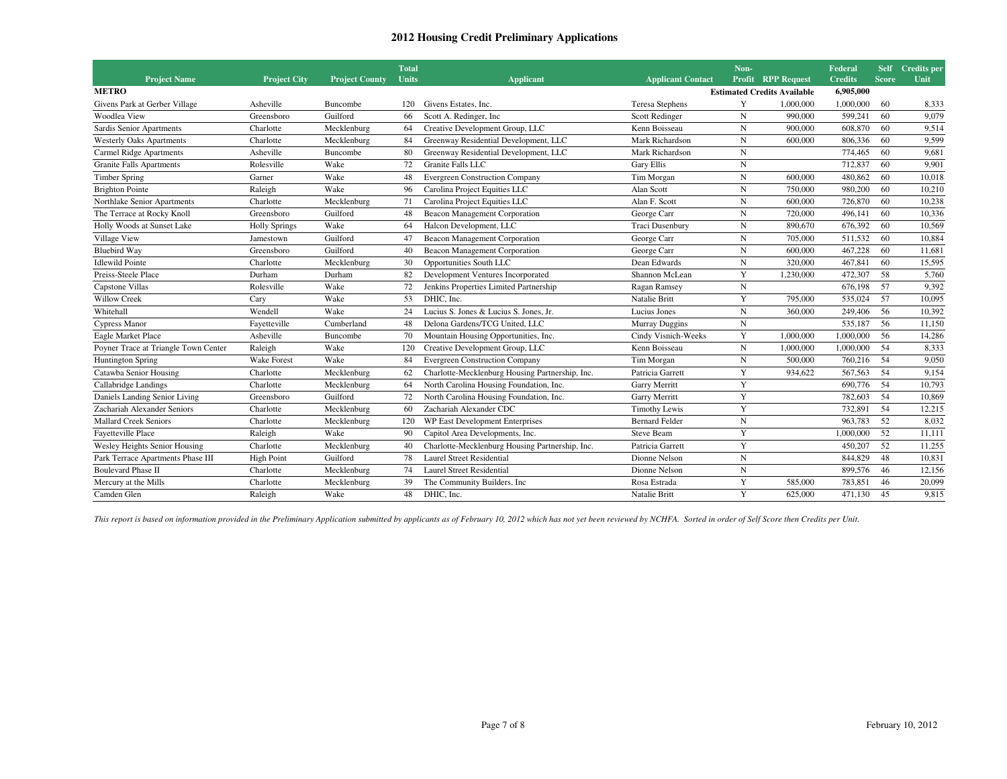|                                      |                      |                       | <b>Total</b><br><b>Units</b> |                                                 |                          | Non-        |                                                          | Federal<br><b>Credits</b> | <b>Self</b><br><b>Score</b> | Credits per |
|--------------------------------------|----------------------|-----------------------|------------------------------|-------------------------------------------------|--------------------------|-------------|----------------------------------------------------------|---------------------------|-----------------------------|-------------|
| <b>Project Name</b><br><b>METRO</b>  | <b>Project City</b>  | <b>Project County</b> |                              | <b>Applicant</b>                                | <b>Applicant Contact</b> | Profit      | <b>RPP Request</b><br><b>Estimated Credits Available</b> | 6,905,000                 |                             | Unit        |
| Givens Park at Gerber Village        | Asheville            | Buncombe              | 120                          | Givens Estates, Inc.                            | <b>Teresa Stephens</b>   | Y           | 1.000.000                                                | 1.000.000                 | 60                          | 8,333       |
| Woodlea View                         | Greensboro           | Guilford              | 66                           | Scott A. Redinger, Inc.                         | Scott Redinger           | N           | 990,000                                                  | 599,241                   | 60                          | 9,079       |
| Sardis Senior Apartments             | Charlotte            | Mecklenburg           | 64                           | Creative Development Group, LLC                 | Kenn Boisseau            | N           | 900,000                                                  | 608,870                   | 60                          | 9,514       |
| <b>Westerly Oaks Apartments</b>      | Charlotte            | Mecklenburg           | 84                           | Greenway Residential Development, LLC           | Mark Richardson          | N           | 600,000                                                  | 806,336                   | 60                          | 9,599       |
| <b>Carmel Ridge Apartments</b>       | Asheville            | Buncombe              | 80                           | Greenway Residential Development, LLC           | Mark Richardson          | N           |                                                          | 774,465                   | 60                          | 9,681       |
| <b>Granite Falls Apartments</b>      | Rolesville           | Wake                  | 72                           | <b>Granite Falls LLC</b>                        | <b>Gary Ellis</b>        | N           |                                                          | 712,837                   | 60                          | 9,901       |
| <b>Timber Spring</b>                 | Garner               | Wake                  | 48                           | <b>Evergreen Construction Company</b>           | Tim Morgan               | $\mathbf N$ | 600,000                                                  | 480,862                   | 60                          | 10,018      |
| <b>Brighton Pointe</b>               | Raleigh              | Wake                  | 96                           | Carolina Project Equities LLC                   | Alan Scott               | N           | 750,000                                                  | 980,200                   | 60                          | 10,210      |
| Northlake Senior Apartments          | Charlotte            | Mecklenburg           | 71                           | Carolina Project Equities LLC                   | Alan F. Scott            | N           | 600,000                                                  | 726,870                   | 60                          | 10,238      |
| The Terrace at Rocky Knoll           | Greensboro           | Guilford              | 48                           | Beacon Management Corporation                   | George Carr              | N           | 720,000                                                  | 496,141                   | 60                          | 10,336      |
| Holly Woods at Sunset Lake           | <b>Holly Springs</b> | Wake                  | 64                           | Halcon Development, LLC                         | Traci Dusenbury          | N           | 890,670                                                  | 676,392                   | 60                          | 10,569      |
| Village View                         | Jamestown            | Guilford              | 47                           | Beacon Management Corporation                   | George Carr              | N           | 705,000                                                  | 511.532                   | 60                          | 10,884      |
| <b>Bluebird Way</b>                  | Greensboro           | Guilford              | 40                           | Beacon Management Corporation                   | George Carr              | N           | 600,000                                                  | 467,228                   | 60                          | 11,681      |
| <b>Idlewild Pointe</b>               | Charlotte            | Mecklenburg           | 30                           | Opportunities South LLC                         | Dean Edwards             | N           | 320,000                                                  | 467,841                   | 60                          | 15,595      |
| Preiss-Steele Place                  | Durham               | Durham                | 82                           | Development Ventures Incorporated               | Shannon McLean           | Y           | 1,230,000                                                | 472,307                   | 58                          | 5,760       |
| Capstone Villas                      | Rolesville           | Wake                  | 72                           | Jenkins Properties Limited Partnership          | Ragan Ramsey             | $\mathbf N$ |                                                          | 676,198                   | 57                          | 9,392       |
| <b>Willow Creek</b>                  | Cary                 | Wake                  | 53                           | DHIC. Inc.                                      | Natalie Britt            | Y           | 795,000                                                  | 535,024                   | 57                          | 10,095      |
| Whitehall                            | Wendell              | Wake                  | 24                           | Lucius S. Jones & Lucius S. Jones, Jr.          | Lucius Jones             | N           | 360,000                                                  | 249,406                   | 56                          | 10,392      |
| <b>Cypress Manor</b>                 | Fayetteville         | Cumberland            | 48                           | Delona Gardens/TCG United, LLC                  | Murray Duggins           | N           |                                                          | 535,187                   | 56                          | 11,150      |
| Eagle Market Place                   | Asheville            | Buncombe              | 70                           | Mountain Housing Opportunities, Inc.            | Cindy Visnich-Weeks      | Y           | 1,000,000                                                | 1,000,000                 | 56                          | 14,286      |
| Poyner Trace at Triangle Town Center | Raleigh              | Wake                  | 120                          | Creative Development Group, LLC                 | Kenn Boisseau            | N           | 1,000,000                                                | 1,000,000                 | 54                          | 8,333       |
| <b>Huntington Spring</b>             | <b>Wake Forest</b>   | Wake                  | 84                           | <b>Evergreen Construction Company</b>           | Tim Morgan               | N           | 500,000                                                  | 760,216                   | 54                          | 9,050       |
| Catawba Senior Housing               | Charlotte            | Mecklenburg           | 62                           | Charlotte-Mecklenburg Housing Partnership, Inc. | Patricia Garrett         | Y           | 934,622                                                  | 567,563                   | 54                          | 9,154       |
| Callabridge Landings                 | Charlotte            | Mecklenburg           | 64                           | North Carolina Housing Foundation, Inc.         | Garry Merritt            | Y           |                                                          | 690,776                   | 54                          | 10,793      |
| Daniels Landing Senior Living        | Greensboro           | Guilford              | 72                           | North Carolina Housing Foundation, Inc.         | Garry Merritt            | Y           |                                                          | 782,603                   | 54                          | 10,869      |
| Zachariah Alexander Seniors          | Charlotte            | Mecklenburg           | 60                           | Zachariah Alexander CDC                         | Timothy Lewis            | Y           |                                                          | 732,891                   | 54                          | 12,215      |
| <b>Mallard Creek Seniors</b>         | Charlotte            | Mecklenburg           | 120                          | WP East Development Enterprises                 | <b>Bernard Felder</b>    | N           |                                                          | 963,783                   | 52                          | 8,032       |
| Fayetteville Place                   | Raleigh              | Wake                  | 90                           | Capitol Area Developments, Inc.                 | Steve Beam               | Y           |                                                          | 1,000,000                 | 52                          | 11,111      |
| Wesley Heights Senior Housing        | Charlotte            | Mecklenburg           | 40                           | Charlotte-Mecklenburg Housing Partnership, Inc. | Patricia Garrett         | Y           |                                                          | 450,207                   | 52                          | 11,255      |
| Park Terrace Apartments Phase III    | <b>High Point</b>    | Guilford              | 78                           | <b>Laurel Street Residential</b>                | Dionne Nelson            | N           |                                                          | 844,829                   | 48                          | 10,831      |
| <b>Boulevard Phase II</b>            | Charlotte            | Mecklenburg           | 74                           | <b>Laurel Street Residential</b>                | Dionne Nelson            | N           |                                                          | 899,576                   | 46                          | 12,156      |
| Mercury at the Mills                 | Charlotte            | Mecklenburg           | 39                           | The Community Builders, Inc.                    | Rosa Estrada             | Y           | 585,000                                                  | 783,851                   | 46                          | 20,099      |
| Camden Glen                          | Raleigh              | Wake                  | 48                           | DHIC, Inc.                                      | Natalie Britt            | Y           | 625,000                                                  | 471,130                   | 45                          | 9,815       |